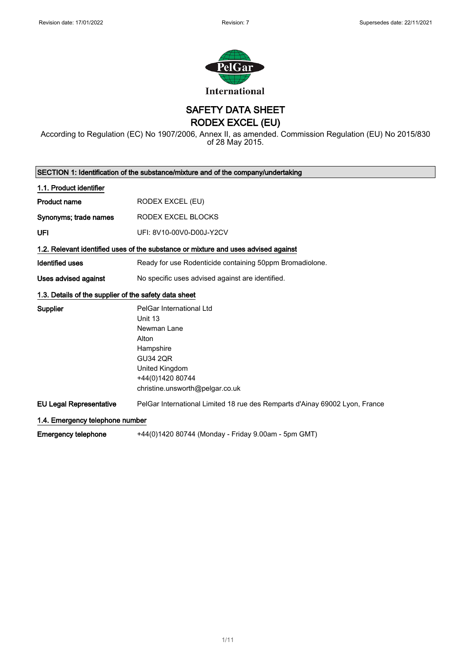

SAFETY DATA SHEET

RODEX EXCEL (EU)

According to Regulation (EC) No 1907/2006, Annex II, as amended. Commission Regulation (EU) No 2015/830 of 28 May 2015.

| SECTION 1: Identification of the substance/mixture and of the company/undertaking |                                                                                    |
|-----------------------------------------------------------------------------------|------------------------------------------------------------------------------------|
| 1.1. Product identifier                                                           |                                                                                    |
| <b>Product name</b>                                                               | RODEX EXCEL (EU)                                                                   |
| Synonyms; trade names                                                             | RODEX EXCEL BLOCKS                                                                 |
| UFI                                                                               | UFI: 8V10-00V0-D00J-Y2CV                                                           |
|                                                                                   | 1.2. Relevant identified uses of the substance or mixture and uses advised against |
| <b>Identified uses</b>                                                            | Ready for use Rodenticide containing 50ppm Bromadiolone.                           |
| Uses advised against                                                              | No specific uses advised against are identified.                                   |
| 1.3. Details of the supplier of the safety data sheet                             |                                                                                    |
| Supplier                                                                          | PelGar International Ltd                                                           |
|                                                                                   | Unit 13                                                                            |
|                                                                                   | Newman Lane                                                                        |
|                                                                                   | Alton                                                                              |
|                                                                                   | Hampshire                                                                          |
|                                                                                   | <b>GU34 2QR</b>                                                                    |
|                                                                                   | United Kingdom                                                                     |
|                                                                                   | +44(0)1420 80744                                                                   |
|                                                                                   | christine.unsworth@pelgar.co.uk                                                    |
| <b>EU Legal Representative</b>                                                    | PelGar International Limited 18 rue des Remparts d'Ainay 69002 Lyon, France        |
| 1.4. Emergency telephone number                                                   |                                                                                    |
| <b>Emergency telephone</b>                                                        | +44(0)1420 80744 (Monday - Friday 9.00am - 5pm GMT)                                |

1/ 11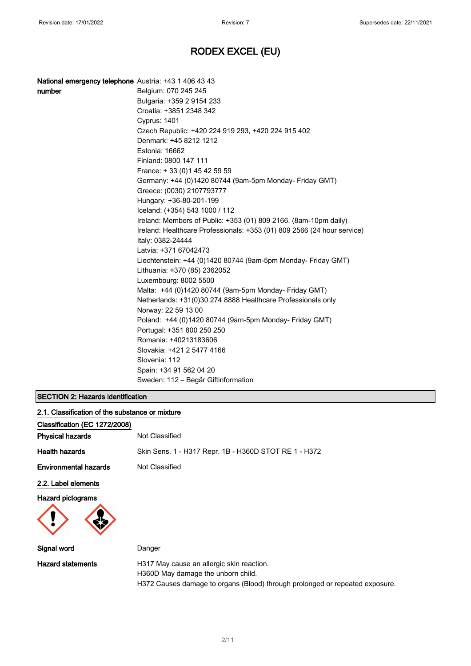| number | Belgium: 070 245 245                                                    |
|--------|-------------------------------------------------------------------------|
|        | Bulgaria: +359 2 9154 233                                               |
|        | Croatia: +3851 2348 342                                                 |
|        | Cyprus: 1401                                                            |
|        | Czech Republic: +420 224 919 293, +420 224 915 402                      |
|        | Denmark: +45 8212 1212                                                  |
|        | Estonia: 16662                                                          |
|        | Finland: 0800 147 111                                                   |
|        | France: +33 (0) 145 42 59 59                                            |
|        | Germany: +44 (0)1420 80744 (9am-5pm Monday- Friday GMT)                 |
|        | Greece: (0030) 2107793777                                               |
|        | Hungary: +36-80-201-199                                                 |
|        | Iceland: (+354) 543 1000 / 112                                          |
|        | Ireland: Members of Public: +353 (01) 809 2166. (8am-10pm daily)        |
|        | Ireland: Healthcare Professionals: +353 (01) 809 2566 (24 hour service) |
|        | Italy: 0382-24444                                                       |
|        | Latvia: +371 67042473                                                   |
|        | Liechtenstein: +44 (0)1420 80744 (9am-5pm Monday- Friday GMT)           |
|        | Lithuania: +370 (85) 2362052                                            |
|        | Luxembourg: 8002 5500                                                   |
|        | Malta: +44 (0)1420 80744 (9am-5pm Monday- Friday GMT)                   |
|        | Netherlands: +31(0)30 274 8888 Healthcare Professionals only            |
|        | Norway: 22 59 13 00                                                     |
|        | Poland: +44 (0)1420 80744 (9am-5pm Monday- Friday GMT)                  |
|        | Portugal: +351 800 250 250                                              |
|        | Romania: +40213183606                                                   |
|        | Slovakia: +421 2 5477 4166                                              |
|        | Slovenia: 112                                                           |
|        | Spain: +34 91 562 04 20                                                 |
|        | Sweden: 112 – Begär Giftinformation                                     |

### SECTION 2: Hazards identification

| 2.1. Classification of the substance or mixture |                                                                                 |
|-------------------------------------------------|---------------------------------------------------------------------------------|
| Classification (EC 1272/2008)                   |                                                                                 |
| <b>Physical hazards</b>                         | Not Classified                                                                  |
| <b>Health hazards</b>                           | Skin Sens. 1 - H317 Repr. 1B - H360D STOT RE 1 - H372                           |
| <b>Environmental hazards</b>                    | Not Classified                                                                  |
| 2.2. Label elements                             |                                                                                 |
| <b>Hazard pictograms</b>                        |                                                                                 |
| Signal word                                     | Danger                                                                          |
| <b>Hazard statements</b>                        | H317 May cause an allergic skin reaction.<br>H360D May damage the unborn child. |

H372 Causes damage to organs (Blood) through prolonged or repeated exposure.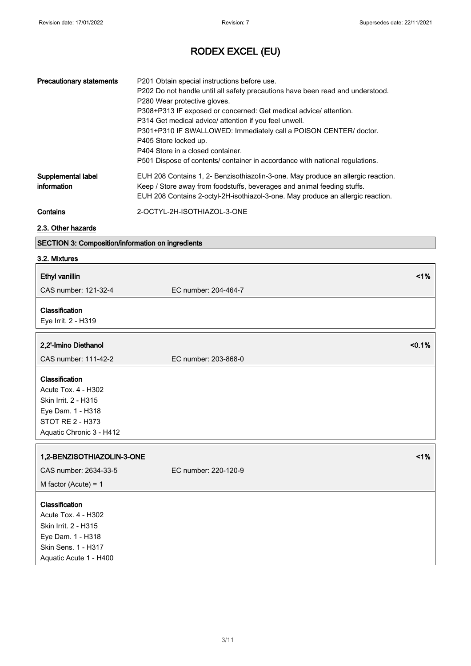| <b>Precautionary statements</b>   | P201 Obtain special instructions before use.<br>P202 Do not handle until all safety precautions have been read and understood.<br>P280 Wear protective gloves.<br>P308+P313 IF exposed or concerned: Get medical advice/ attention.<br>P314 Get medical advice/ attention if you feel unwell.<br>P301+P310 IF SWALLOWED: Immediately call a POISON CENTER/ doctor.<br>P405 Store locked up.<br>P404 Store in a closed container.<br>P501 Dispose of contents/ container in accordance with national regulations. |
|-----------------------------------|------------------------------------------------------------------------------------------------------------------------------------------------------------------------------------------------------------------------------------------------------------------------------------------------------------------------------------------------------------------------------------------------------------------------------------------------------------------------------------------------------------------|
| Supplemental label<br>information | EUH 208 Contains 1, 2- Benzisothiazolin-3-one. May produce an allergic reaction.<br>Keep / Store away from foodstuffs, beverages and animal feeding stuffs.<br>EUH 208 Contains 2-octyl-2H-isothiazol-3-one. May produce an allergic reaction.                                                                                                                                                                                                                                                                   |
| Contains                          | 2-OCTYL-2H-ISOTHIAZOL-3-ONE                                                                                                                                                                                                                                                                                                                                                                                                                                                                                      |

### 2.3. Other hazards

### SECTION 3: Composition/information on ingredients

### 3.2. Mixtures

| <b>Ethyl vanillin</b>                                                                                                               | 1%                   |
|-------------------------------------------------------------------------------------------------------------------------------------|----------------------|
| CAS number: 121-32-4                                                                                                                | EC number: 204-464-7 |
| Classification<br>Eye Irrit. 2 - H319                                                                                               |                      |
| 2,2'-Imino Diethanol                                                                                                                | < 0.1%               |
| CAS number: 111-42-2                                                                                                                | EC number: 203-868-0 |
| Classification<br>Acute Tox. 4 - H302<br>Skin Irrit. 2 - H315<br>Eye Dam. 1 - H318<br>STOT RE 2 - H373<br>Aquatic Chronic 3 - H412  |                      |
| 1,2-BENZISOTHIAZOLIN-3-ONE                                                                                                          | 1%                   |
| CAS number: 2634-33-5                                                                                                               | EC number: 220-120-9 |
| M factor (Acute) = $1$                                                                                                              |                      |
| Classification<br>Acute Tox. 4 - H302<br>Skin Irrit. 2 - H315<br>Eye Dam. 1 - H318<br>Skin Sens. 1 - H317<br>Aquatic Acute 1 - H400 |                      |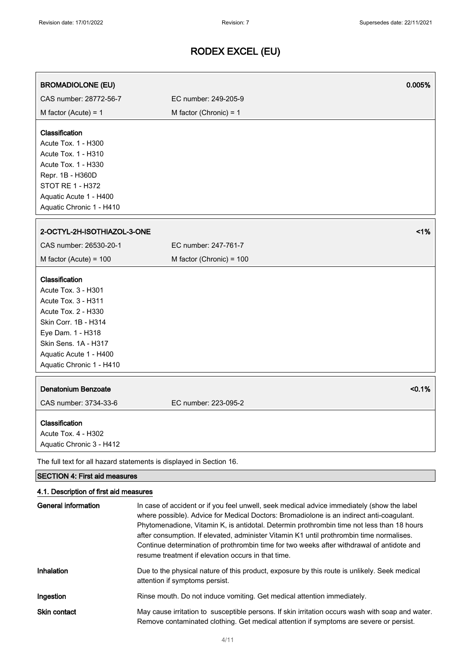| <b>BROMADIOLONE (EU)</b>                                                                                                                                                                                       |                          | 0.005% |
|----------------------------------------------------------------------------------------------------------------------------------------------------------------------------------------------------------------|--------------------------|--------|
| CAS number: 28772-56-7                                                                                                                                                                                         | EC number: 249-205-9     |        |
| M factor (Acute) = $1$                                                                                                                                                                                         | M factor (Chronic) = $1$ |        |
| Classification<br>Acute Tox. 1 - H300<br>Acute Tox. 1 - H310<br>Acute Tox. 1 - H330<br>Repr. 1B - H360D<br>STOT RE 1 - H372<br>Aquatic Acute 1 - H400<br>Aquatic Chronic 1 - H410                              |                          |        |
| 2-OCTYL-2H-ISOTHIAZOL-3-ONE                                                                                                                                                                                    |                          | 1%     |
| CAS number: 26530-20-1                                                                                                                                                                                         | EC number: 247-761-7     |        |
| M factor (Acute) = $100$                                                                                                                                                                                       | M factor (Chronic) = 100 |        |
| Classification<br>Acute Tox. 3 - H301<br>Acute Tox. 3 - H311<br>Acute Tox. 2 - H330<br>Skin Corr. 1B - H314<br>Eye Dam. 1 - H318<br>Skin Sens. 1A - H317<br>Aquatic Acute 1 - H400<br>Aquatic Chronic 1 - H410 |                          |        |
| <b>Denatonium Benzoate</b><br>CAS number: 3734-33-6                                                                                                                                                            | EC number: 223-095-2     | < 0.1% |
| Classification<br>Acute Tox. 4 - H302<br>Aquatic Chronic 3 - H412                                                                                                                                              |                          |        |
| The full text for all hazard statements is displayed in Section 16.                                                                                                                                            |                          |        |
| <b>SECTION 4: First aid measures</b>                                                                                                                                                                           |                          |        |
| 4.1. Description of first aid measures                                                                                                                                                                         |                          |        |

| General information | In case of accident or if you feel unwell, seek medical advice immediately (show the label<br>where possible). Advice for Medical Doctors: Bromadiolone is an indirect anti-coagulant.<br>Phytomenadione, Vitamin K, is antidotal. Determin prothrombin time not less than 18 hours<br>after consumption. If elevated, administer Vitamin K1 until prothrombin time normalises.<br>Continue determination of prothrombin time for two weeks after withdrawal of antidote and<br>resume treatment if elevation occurs in that time. |
|---------------------|------------------------------------------------------------------------------------------------------------------------------------------------------------------------------------------------------------------------------------------------------------------------------------------------------------------------------------------------------------------------------------------------------------------------------------------------------------------------------------------------------------------------------------|
| Inhalation          | Due to the physical nature of this product, exposure by this route is unlikely. Seek medical<br>attention if symptoms persist.                                                                                                                                                                                                                                                                                                                                                                                                     |
| Ingestion           | Rinse mouth. Do not induce vomiting. Get medical attention immediately.                                                                                                                                                                                                                                                                                                                                                                                                                                                            |
| Skin contact        | May cause irritation to susceptible persons. If skin irritation occurs wash with soap and water.<br>Remove contaminated clothing. Get medical attention if symptoms are severe or persist.                                                                                                                                                                                                                                                                                                                                         |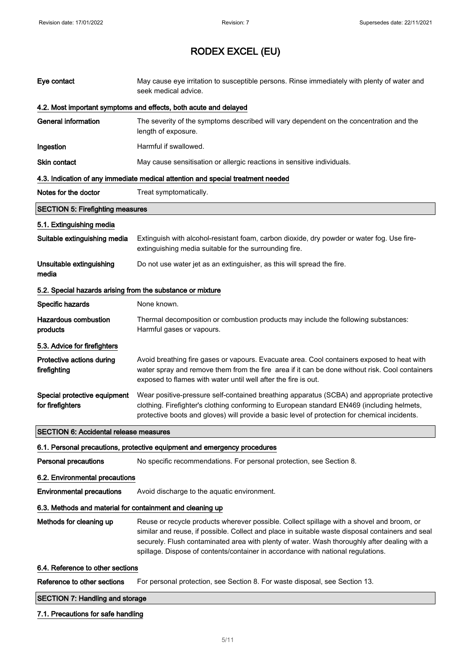| Eye contact                                                | May cause eye irritation to susceptible persons. Rinse immediately with plenty of water and<br>seek medical advice.                                                                                                                                                                                                                                                               |  |
|------------------------------------------------------------|-----------------------------------------------------------------------------------------------------------------------------------------------------------------------------------------------------------------------------------------------------------------------------------------------------------------------------------------------------------------------------------|--|
|                                                            | 4.2. Most important symptoms and effects, both acute and delayed                                                                                                                                                                                                                                                                                                                  |  |
| <b>General information</b>                                 | The severity of the symptoms described will vary dependent on the concentration and the<br>length of exposure.                                                                                                                                                                                                                                                                    |  |
| Ingestion                                                  | Harmful if swallowed.                                                                                                                                                                                                                                                                                                                                                             |  |
| Skin contact                                               | May cause sensitisation or allergic reactions in sensitive individuals.                                                                                                                                                                                                                                                                                                           |  |
|                                                            | 4.3. Indication of any immediate medical attention and special treatment needed                                                                                                                                                                                                                                                                                                   |  |
| Notes for the doctor                                       | Treat symptomatically.                                                                                                                                                                                                                                                                                                                                                            |  |
| <b>SECTION 5: Firefighting measures</b>                    |                                                                                                                                                                                                                                                                                                                                                                                   |  |
| 5.1. Extinguishing media                                   |                                                                                                                                                                                                                                                                                                                                                                                   |  |
| Suitable extinguishing media                               | Extinguish with alcohol-resistant foam, carbon dioxide, dry powder or water fog. Use fire-<br>extinguishing media suitable for the surrounding fire.                                                                                                                                                                                                                              |  |
| Unsuitable extinguishing<br>media                          | Do not use water jet as an extinguisher, as this will spread the fire.                                                                                                                                                                                                                                                                                                            |  |
| 5.2. Special hazards arising from the substance or mixture |                                                                                                                                                                                                                                                                                                                                                                                   |  |
| Specific hazards                                           | None known.                                                                                                                                                                                                                                                                                                                                                                       |  |
| <b>Hazardous combustion</b><br>products                    | Thermal decomposition or combustion products may include the following substances:<br>Harmful gases or vapours.                                                                                                                                                                                                                                                                   |  |
| 5.3. Advice for firefighters                               |                                                                                                                                                                                                                                                                                                                                                                                   |  |
| Protective actions during<br>firefighting                  | Avoid breathing fire gases or vapours. Evacuate area. Cool containers exposed to heat with<br>water spray and remove them from the fire area if it can be done without risk. Cool containers<br>exposed to flames with water until well after the fire is out.                                                                                                                    |  |
| Special protective equipment<br>for firefighters           | Wear positive-pressure self-contained breathing apparatus (SCBA) and appropriate protective<br>clothing. Firefighter's clothing conforming to European standard EN469 (including helmets,<br>protective boots and gloves) will provide a basic level of protection for chemical incidents.                                                                                        |  |
| <b>SECTION 6: Accidental release measures</b>              |                                                                                                                                                                                                                                                                                                                                                                                   |  |
|                                                            | 6.1. Personal precautions, protective equipment and emergency procedures                                                                                                                                                                                                                                                                                                          |  |
| <b>Personal precautions</b>                                | No specific recommendations. For personal protection, see Section 8.                                                                                                                                                                                                                                                                                                              |  |
| 6.2. Environmental precautions                             |                                                                                                                                                                                                                                                                                                                                                                                   |  |
| <b>Environmental precautions</b>                           | Avoid discharge to the aquatic environment.                                                                                                                                                                                                                                                                                                                                       |  |
| 6.3. Methods and material for containment and cleaning up  |                                                                                                                                                                                                                                                                                                                                                                                   |  |
| Methods for cleaning up                                    | Reuse or recycle products wherever possible. Collect spillage with a shovel and broom, or<br>similar and reuse, if possible. Collect and place in suitable waste disposal containers and seal<br>securely. Flush contaminated area with plenty of water. Wash thoroughly after dealing with a<br>spillage. Dispose of contents/container in accordance with national regulations. |  |
| 6.4. Reference to other sections                           |                                                                                                                                                                                                                                                                                                                                                                                   |  |
| Reference to other sections                                | For personal protection, see Section 8. For waste disposal, see Section 13.                                                                                                                                                                                                                                                                                                       |  |
| <b>SECTION 7: Handling and storage</b>                     |                                                                                                                                                                                                                                                                                                                                                                                   |  |

### 7.1. Precautions for safe handling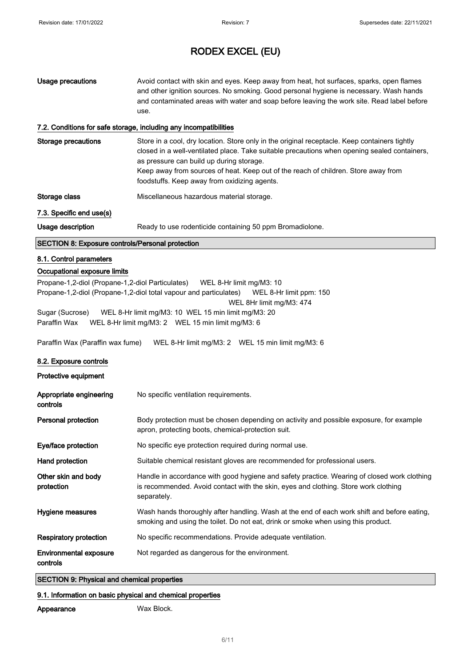| <b>Usage precautions</b>                                                                                                                                                                                                                                                                           | Avoid contact with skin and eyes. Keep away from heat, hot surfaces, sparks, open flames<br>and other ignition sources. No smoking. Good personal hygiene is necessary. Wash hands<br>and contaminated areas with water and soap before leaving the work site. Read label before<br>use.                                                                                                                                                                                                                          |
|----------------------------------------------------------------------------------------------------------------------------------------------------------------------------------------------------------------------------------------------------------------------------------------------------|-------------------------------------------------------------------------------------------------------------------------------------------------------------------------------------------------------------------------------------------------------------------------------------------------------------------------------------------------------------------------------------------------------------------------------------------------------------------------------------------------------------------|
|                                                                                                                                                                                                                                                                                                    | 7.2. Conditions for safe storage, including any incompatibilities                                                                                                                                                                                                                                                                                                                                                                                                                                                 |
| <b>Storage precautions</b>                                                                                                                                                                                                                                                                         | Store in a cool, dry location. Store only in the original receptacle. Keep containers tightly<br>closed in a well-ventilated place. Take suitable precautions when opening sealed containers,<br>as pressure can build up during storage.<br>Keep away from sources of heat. Keep out of the reach of children. Store away from<br>foodstuffs. Keep away from oxidizing agents.                                                                                                                                   |
| Storage class                                                                                                                                                                                                                                                                                      | Miscellaneous hazardous material storage.                                                                                                                                                                                                                                                                                                                                                                                                                                                                         |
| 7.3. Specific end use(s)                                                                                                                                                                                                                                                                           |                                                                                                                                                                                                                                                                                                                                                                                                                                                                                                                   |
| Usage description                                                                                                                                                                                                                                                                                  | Ready to use rodenticide containing 50 ppm Bromadiolone.                                                                                                                                                                                                                                                                                                                                                                                                                                                          |
| <b>SECTION 8: Exposure controls/Personal protection</b>                                                                                                                                                                                                                                            |                                                                                                                                                                                                                                                                                                                                                                                                                                                                                                                   |
| 8.1. Control parameters<br>Occupational exposure limits<br>Propane-1,2-diol (Propane-1,2-diol Particulates)<br>Sugar (Sucrose)<br>Paraffin Wax<br>Paraffin Wax (Paraffin wax fume)<br>8.2. Exposure controls<br>Protective equipment<br>Appropriate engineering<br>controls<br>Personal protection | WEL 8-Hr limit mg/M3: 10<br>Propane-1,2-diol (Propane-1,2-diol total vapour and particulates)<br>WEL 8-Hr limit ppm: 150<br>WEL 8Hr limit mg/M3: 474<br>WEL 8-Hr limit mg/M3: 10 WEL 15 min limit mg/M3: 20<br>WEL 8-Hr limit mg/M3: 2  WEL 15 min limit mg/M3: 6<br>WEL 8-Hr limit mg/M3: 2  WEL 15 min limit mg/M3: 6<br>No specific ventilation requirements.<br>Body protection must be chosen depending on activity and possible exposure, for example<br>apron, protecting boots, chemical-protection suit. |
| Eye/face protection                                                                                                                                                                                                                                                                                | No specific eye protection required during normal use.                                                                                                                                                                                                                                                                                                                                                                                                                                                            |
| Hand protection                                                                                                                                                                                                                                                                                    | Suitable chemical resistant gloves are recommended for professional users.                                                                                                                                                                                                                                                                                                                                                                                                                                        |
| Other skin and body<br>protection                                                                                                                                                                                                                                                                  | Handle in accordance with good hygiene and safety practice. Wearing of closed work clothing<br>is recommended. Avoid contact with the skin, eyes and clothing. Store work clothing<br>separately.                                                                                                                                                                                                                                                                                                                 |
| <b>Hygiene measures</b>                                                                                                                                                                                                                                                                            | Wash hands thoroughly after handling. Wash at the end of each work shift and before eating,<br>smoking and using the toilet. Do not eat, drink or smoke when using this product.                                                                                                                                                                                                                                                                                                                                  |
| <b>Respiratory protection</b>                                                                                                                                                                                                                                                                      | No specific recommendations. Provide adequate ventilation.                                                                                                                                                                                                                                                                                                                                                                                                                                                        |
| <b>Environmental exposure</b><br>controls                                                                                                                                                                                                                                                          | Not regarded as dangerous for the environment.                                                                                                                                                                                                                                                                                                                                                                                                                                                                    |

### SECTION 9: Physical and chemical properties

### 9.1. Information on basic physical and chemical properties

Appearance Wax Block.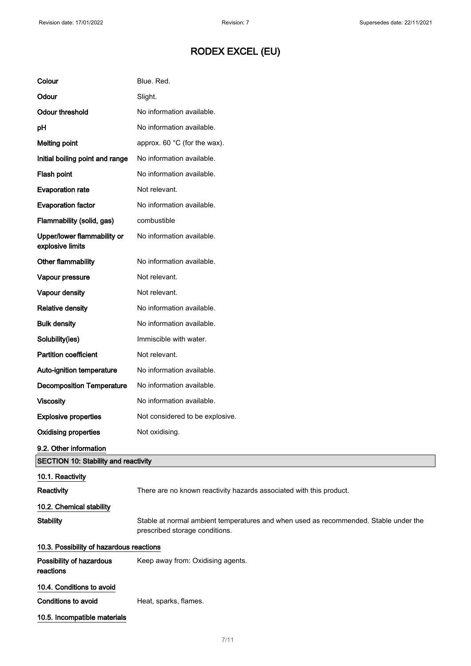| Colour                                          | Blue. Red.                                                                                                             |
|-------------------------------------------------|------------------------------------------------------------------------------------------------------------------------|
| Odour                                           | Slight.                                                                                                                |
| <b>Odour threshold</b>                          | No information available.                                                                                              |
| pH                                              | No information available.                                                                                              |
| <b>Melting point</b>                            | approx. 60 °C (for the wax).                                                                                           |
| Initial boiling point and range                 | No information available.                                                                                              |
| Flash point                                     | No information available.                                                                                              |
| <b>Evaporation rate</b>                         | Not relevant.                                                                                                          |
| <b>Evaporation factor</b>                       | No information available.                                                                                              |
| Flammability (solid, gas)                       | combustible                                                                                                            |
| Upper/lower flammability or<br>explosive limits | No information available.                                                                                              |
| Other flammability                              | No information available.                                                                                              |
| Vapour pressure                                 | Not relevant.                                                                                                          |
| Vapour density                                  | Not relevant.                                                                                                          |
| <b>Relative density</b>                         | No information available.                                                                                              |
| <b>Bulk density</b>                             | No information available.                                                                                              |
| Solubility(ies)                                 | Immiscible with water.                                                                                                 |
| <b>Partition coefficient</b>                    | Not relevant.                                                                                                          |
| Auto-ignition temperature                       | No information available.                                                                                              |
| <b>Decomposition Temperature</b>                | No information available.                                                                                              |
| <b>Viscosity</b>                                | No information available.                                                                                              |
| <b>Explosive properties</b>                     | Not considered to be explosive.                                                                                        |
| <b>Oxidising properties</b>                     | Not oxidising.                                                                                                         |
| 9.2. Other information                          |                                                                                                                        |
| <b>SECTION 10: Stability and reactivity</b>     |                                                                                                                        |
| 10.1. Reactivity                                |                                                                                                                        |
| Reactivity                                      | There are no known reactivity hazards associated with this product.                                                    |
| 10.2. Chemical stability                        |                                                                                                                        |
| <b>Stability</b>                                | Stable at normal ambient temperatures and when used as recommended. Stable under the<br>prescribed storage conditions. |
| 10.3. Possibility of hazardous reactions        |                                                                                                                        |
| Possibility of hazardous<br>reactions           | Keep away from: Oxidising agents.                                                                                      |
| 10.4. Conditions to avoid                       |                                                                                                                        |
| <b>Conditions to avoid</b>                      | Heat, sparks, flames.                                                                                                  |
| 10.5. Incompatible materials                    |                                                                                                                        |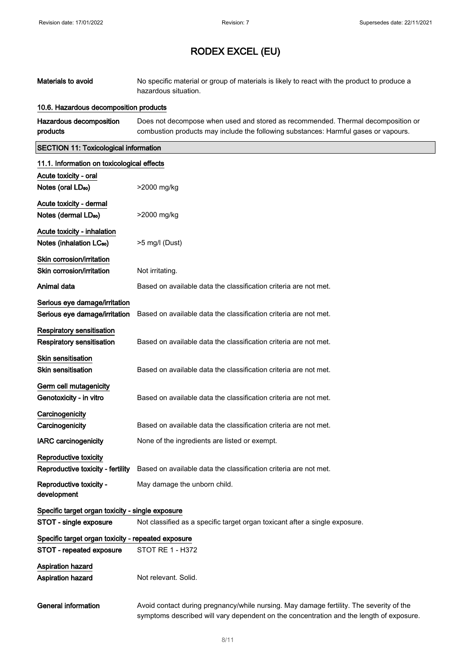| Materials to avoid                                                  | No specific material or group of materials is likely to react with the product to produce a<br>hazardous situation.                                                                |
|---------------------------------------------------------------------|------------------------------------------------------------------------------------------------------------------------------------------------------------------------------------|
| 10.6. Hazardous decomposition products                              |                                                                                                                                                                                    |
| Hazardous decomposition<br>products                                 | Does not decompose when used and stored as recommended. Thermal decomposition or<br>combustion products may include the following substances: Harmful gases or vapours.            |
| <b>SECTION 11: Toxicological information</b>                        |                                                                                                                                                                                    |
| 11.1. Information on toxicological effects                          |                                                                                                                                                                                    |
| Acute toxicity - oral<br>Notes (oral LD <sub>50</sub> )             | >2000 mg/kg                                                                                                                                                                        |
| Acute toxicity - dermal<br>Notes (dermal LD <sub>50</sub> )         | >2000 mg/kg                                                                                                                                                                        |
| Acute toxicity - inhalation<br>Notes (inhalation LC <sub>50</sub> ) | >5 mg/l (Dust)                                                                                                                                                                     |
| Skin corrosion/irritation<br>Skin corrosion/irritation              | Not irritating.                                                                                                                                                                    |
| Animal data                                                         | Based on available data the classification criteria are not met.                                                                                                                   |
| Serious eye damage/irritation<br>Serious eye damage/irritation      | Based on available data the classification criteria are not met.                                                                                                                   |
| <b>Respiratory sensitisation</b><br>Respiratory sensitisation       | Based on available data the classification criteria are not met.                                                                                                                   |
| <b>Skin sensitisation</b><br><b>Skin sensitisation</b>              | Based on available data the classification criteria are not met.                                                                                                                   |
| Germ cell mutagenicity<br>Genotoxicity - in vitro                   | Based on available data the classification criteria are not met.                                                                                                                   |
| Carcinogenicity<br>Carcinogenicity                                  | Based on available data the classification criteria are not met.                                                                                                                   |
| <b>IARC carcinogenicity</b>                                         | None of the ingredients are listed or exempt.                                                                                                                                      |
| Reproductive toxicity<br>Reproductive toxicity - fertility          | Based on available data the classification criteria are not met.                                                                                                                   |
| Reproductive toxicity -<br>development                              | May damage the unborn child.                                                                                                                                                       |
| Specific target organ toxicity - single exposure                    |                                                                                                                                                                                    |
| STOT - single exposure                                              | Not classified as a specific target organ toxicant after a single exposure.                                                                                                        |
| Specific target organ toxicity - repeated exposure                  | <b>STOT RE 1 - H372</b>                                                                                                                                                            |
| STOT - repeated exposure<br>Aspiration hazard<br>Aspiration hazard  | Not relevant. Solid.                                                                                                                                                               |
| <b>General information</b>                                          | Avoid contact during pregnancy/while nursing. May damage fertility. The severity of the<br>symptoms described will vary dependent on the concentration and the length of exposure. |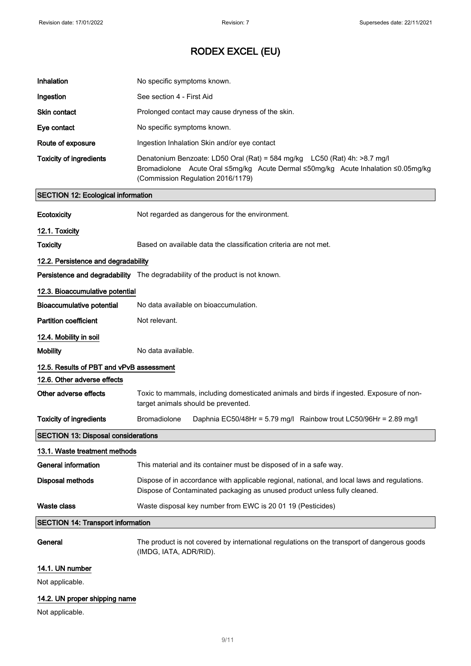| Inhalation                                 | No specific symptoms known.                                                                                                                                                                         |  |
|--------------------------------------------|-----------------------------------------------------------------------------------------------------------------------------------------------------------------------------------------------------|--|
| Ingestion                                  | See section 4 - First Aid                                                                                                                                                                           |  |
| <b>Skin contact</b>                        | Prolonged contact may cause dryness of the skin.                                                                                                                                                    |  |
| Eye contact                                | No specific symptoms known.                                                                                                                                                                         |  |
| Route of exposure                          | Ingestion Inhalation Skin and/or eye contact                                                                                                                                                        |  |
| <b>Toxicity of ingredients</b>             | Denatonium Benzoate: LD50 Oral (Rat) = 584 mg/kg LC50 (Rat) 4h: >8.7 mg/l<br>Bromadiolone Acute Oral ≤5mg/kg Acute Dermal ≤50mg/kg Acute Inhalation ≤0.05mg/kg<br>(Commission Regulation 2016/1179) |  |
| <b>SECTION 12: Ecological information</b>  |                                                                                                                                                                                                     |  |
| Ecotoxicity                                | Not regarded as dangerous for the environment.                                                                                                                                                      |  |
| 12.1. Toxicity                             |                                                                                                                                                                                                     |  |
| <b>Toxicity</b>                            | Based on available data the classification criteria are not met.                                                                                                                                    |  |
| 12.2. Persistence and degradability        |                                                                                                                                                                                                     |  |
|                                            | <b>Persistence and degradability</b> The degradability of the product is not known.                                                                                                                 |  |
| 12.3. Bioaccumulative potential            |                                                                                                                                                                                                     |  |
| <b>Bioaccumulative potential</b>           | No data available on bioaccumulation.                                                                                                                                                               |  |
| <b>Partition coefficient</b>               | Not relevant.                                                                                                                                                                                       |  |
| 12.4. Mobility in soil                     |                                                                                                                                                                                                     |  |
| <b>Mobility</b>                            | No data available.                                                                                                                                                                                  |  |
| 12.5. Results of PBT and vPvB assessment   |                                                                                                                                                                                                     |  |
| 12.6. Other adverse effects                |                                                                                                                                                                                                     |  |
| Other adverse effects                      | Toxic to mammals, including domesticated animals and birds if ingested. Exposure of non-<br>target animals should be prevented.                                                                     |  |
| <b>Toxicity of ingredients</b>             | Bromadiolone<br>Daphnia EC50/48Hr = 5.79 mg/l Rainbow trout LC50/96Hr = 2.89 mg/l                                                                                                                   |  |
| <b>SECTION 13: Disposal considerations</b> |                                                                                                                                                                                                     |  |
| 13.1. Waste treatment methods              |                                                                                                                                                                                                     |  |
| <b>General information</b>                 | This material and its container must be disposed of in a safe way.                                                                                                                                  |  |
| <b>Disposal methods</b>                    | Dispose of in accordance with applicable regional, national, and local laws and regulations.<br>Dispose of Contaminated packaging as unused product unless fully cleaned.                           |  |
| Waste class                                | Waste disposal key number from EWC is 20 01 19 (Pesticides)                                                                                                                                         |  |
| <b>SECTION 14: Transport information</b>   |                                                                                                                                                                                                     |  |
| General                                    | The product is not covered by international regulations on the transport of dangerous goods<br>(IMDG, IATA, ADR/RID).                                                                               |  |
| 14.1. UN number                            |                                                                                                                                                                                                     |  |
| Not applicable.                            |                                                                                                                                                                                                     |  |
| 14.2. UN proper shipping name              |                                                                                                                                                                                                     |  |

Not applicable.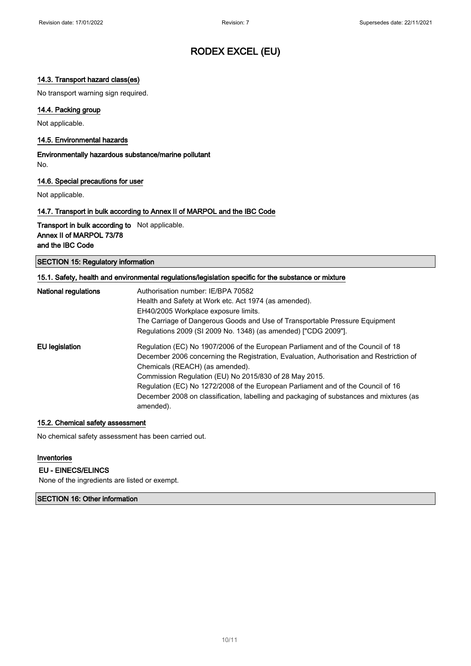### 14.3. Transport hazard class(es)

No transport warning sign required.

### 14.4. Packing group

Not applicable.

#### 14.5. Environmental hazards

Environmentally hazardous substance/marine pollutant No.

#### 14.6. Special precautions for user

Not applicable.

#### 14.7. Transport in bulk according to Annex II of MARPOL and the IBC Code

Transport in bulk according to Not applicable. Annex II of MARPOL 73/78 and the IBC Code

SECTION 15: Regulatory information

| 15.1. Safety, health and environmental regulations/legislation specific for the substance or mixture |                                                                                         |
|------------------------------------------------------------------------------------------------------|-----------------------------------------------------------------------------------------|
| <b>National regulations</b>                                                                          | Authorisation number: IE/BPA 70582                                                      |
|                                                                                                      | Health and Safety at Work etc. Act 1974 (as amended).                                   |
|                                                                                                      | EH40/2005 Workplace exposure limits.                                                    |
|                                                                                                      | The Carriage of Dangerous Goods and Use of Transportable Pressure Equipment             |
|                                                                                                      | Regulations 2009 (SI 2009 No. 1348) (as amended) ["CDG 2009"].                          |
| EU legislation                                                                                       | Regulation (EC) No 1907/2006 of the European Parliament and of the Council of 18        |
|                                                                                                      | December 2006 concerning the Registration, Evaluation, Authorisation and Restriction of |
|                                                                                                      | Chemicals (REACH) (as amended).                                                         |
|                                                                                                      | Commission Regulation (EU) No 2015/830 of 28 May 2015.                                  |
|                                                                                                      | Regulation (EC) No 1272/2008 of the European Parliament and of the Council of 16        |
|                                                                                                      | December 2008 on classification, labelling and packaging of substances and mixtures (as |
|                                                                                                      | amended).                                                                               |

#### 15.2. Chemical safety assessment

No chemical safety assessment has been carried out.

#### Inventories

#### EU - EINECS/ELINCS

None of the ingredients are listed or exempt.

SECTION 16: Other information